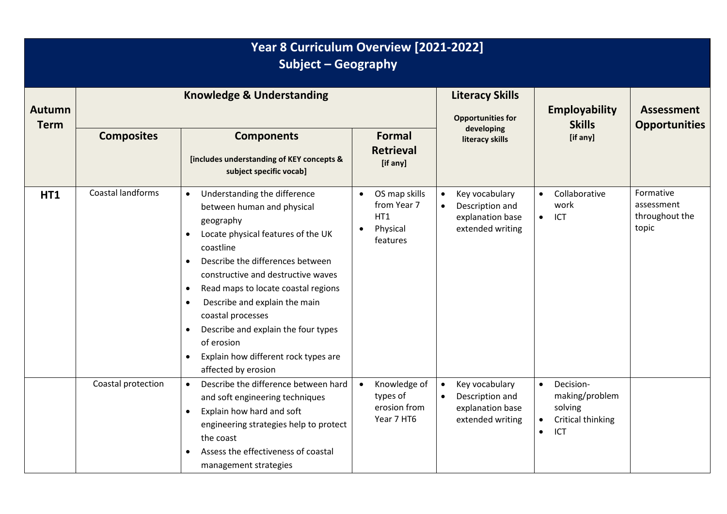| Year 8 Curriculum Overview [2021-2022]<br>Subject - Geography |                                      |                                                                                                                                                                                                                                                                                                                                                                                                                                                                           |                                                             |                                                                                        |                                                                                                           |                                                    |  |
|---------------------------------------------------------------|--------------------------------------|---------------------------------------------------------------------------------------------------------------------------------------------------------------------------------------------------------------------------------------------------------------------------------------------------------------------------------------------------------------------------------------------------------------------------------------------------------------------------|-------------------------------------------------------------|----------------------------------------------------------------------------------------|-----------------------------------------------------------------------------------------------------------|----------------------------------------------------|--|
| <b>Autumn</b><br><b>Term</b>                                  | <b>Knowledge &amp; Understanding</b> |                                                                                                                                                                                                                                                                                                                                                                                                                                                                           | <b>Literacy Skills</b><br><b>Opportunities for</b>          | <b>Employability</b><br><b>Skills</b>                                                  | <b>Assessment</b><br><b>Opportunities</b>                                                                 |                                                    |  |
|                                                               | <b>Composites</b>                    | <b>Components</b><br>[includes understanding of KEY concepts &<br>subject specific vocab]                                                                                                                                                                                                                                                                                                                                                                                 | <b>Formal</b><br><b>Retrieval</b><br>[if any]               | developing<br>literacy skills                                                          | [if any]                                                                                                  |                                                    |  |
| HT1                                                           | Coastal landforms                    | Understanding the difference<br>between human and physical<br>geography<br>Locate physical features of the UK<br>coastline<br>Describe the differences between<br>$\bullet$<br>constructive and destructive waves<br>Read maps to locate coastal regions<br>$\bullet$<br>Describe and explain the main<br>$\bullet$<br>coastal processes<br>Describe and explain the four types<br>$\bullet$<br>of erosion<br>Explain how different rock types are<br>affected by erosion | OS map skills<br>from Year 7<br>HT1<br>Physical<br>features | Key vocabulary<br>$\bullet$<br>Description and<br>explanation base<br>extended writing | Collaborative<br>$\bullet$<br>work<br>ICT<br>$\bullet$                                                    | Formative<br>assessment<br>throughout the<br>topic |  |
|                                                               | Coastal protection                   | Describe the difference between hard<br>$\bullet$<br>and soft engineering techniques<br>Explain how hard and soft<br>$\bullet$<br>engineering strategies help to protect<br>the coast<br>Assess the effectiveness of coastal<br>management strategies                                                                                                                                                                                                                     | Knowledge of<br>types of<br>erosion from<br>Year 7 HT6      | Key vocabulary<br>$\bullet$<br>Description and<br>explanation base<br>extended writing | Decision-<br>$\bullet$<br>making/problem<br>solving<br>Critical thinking<br>$\bullet$<br>ICT<br>$\bullet$ |                                                    |  |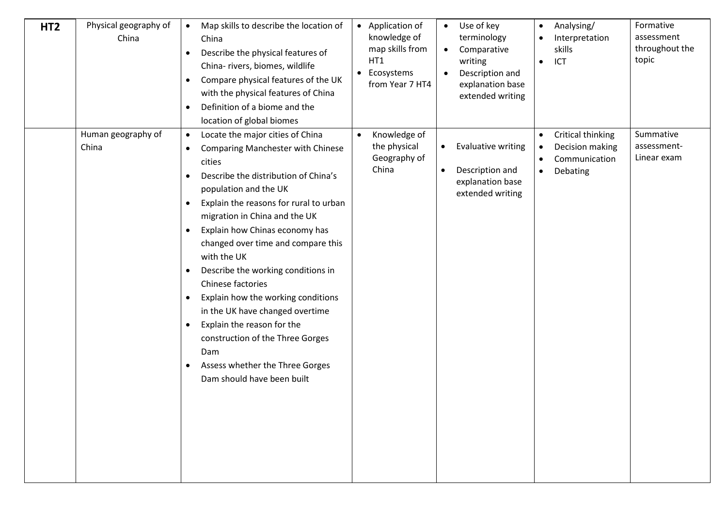| HT <sub>2</sub> | Physical geography of<br>China | Map skills to describe the location of<br>$\bullet$<br>China<br>Describe the physical features of<br>$\bullet$<br>China- rivers, biomes, wildlife<br>Compare physical features of the UK<br>$\bullet$<br>with the physical features of China<br>Definition of a biome and the<br>$\bullet$<br>location of global biomes                                                                                                                                                                                                                                                                                                                                                                                                      | • Application of<br>knowledge of<br>map skills from<br>HT1<br>Ecosystems<br>$\bullet$<br>from Year 7 HT4 | Use of key<br>$\bullet$<br>terminology<br>Comparative<br>$\bullet$<br>writing<br>Description and<br>explanation base<br>extended writing | Analysing/<br>$\bullet$<br>Interpretation<br>skills<br>ICT<br>$\bullet$                                               | Formative<br>assessment<br>throughout the<br>topic |
|-----------------|--------------------------------|------------------------------------------------------------------------------------------------------------------------------------------------------------------------------------------------------------------------------------------------------------------------------------------------------------------------------------------------------------------------------------------------------------------------------------------------------------------------------------------------------------------------------------------------------------------------------------------------------------------------------------------------------------------------------------------------------------------------------|----------------------------------------------------------------------------------------------------------|------------------------------------------------------------------------------------------------------------------------------------------|-----------------------------------------------------------------------------------------------------------------------|----------------------------------------------------|
|                 | Human geography of<br>China    | Locate the major cities of China<br>$\bullet$<br><b>Comparing Manchester with Chinese</b><br>$\bullet$<br>cities<br>Describe the distribution of China's<br>$\bullet$<br>population and the UK<br>Explain the reasons for rural to urban<br>$\bullet$<br>migration in China and the UK<br>Explain how Chinas economy has<br>$\bullet$<br>changed over time and compare this<br>with the UK<br>Describe the working conditions in<br>$\bullet$<br>Chinese factories<br>Explain how the working conditions<br>$\bullet$<br>in the UK have changed overtime<br>Explain the reason for the<br>$\bullet$<br>construction of the Three Gorges<br>Dam<br>Assess whether the Three Gorges<br>$\bullet$<br>Dam should have been built | Knowledge of<br>$\bullet$<br>the physical<br>Geography of<br>China                                       | <b>Evaluative writing</b><br>$\bullet$<br>Description and<br>$\bullet$<br>explanation base<br>extended writing                           | Critical thinking<br>$\bullet$<br>Decision making<br>$\bullet$<br>Communication<br>$\bullet$<br>Debating<br>$\bullet$ | Summative<br>assessment-<br>Linear exam            |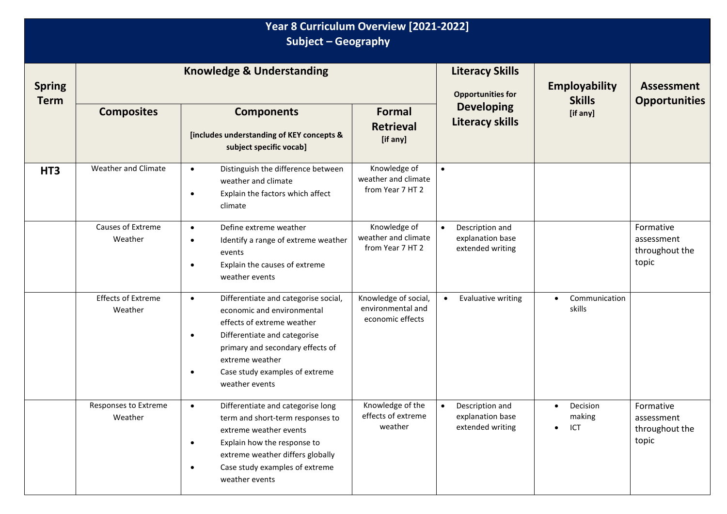| Year 8 Curriculum Overview [2021-2022]<br><b>Subject - Geography</b> |                                      |                                                                                                                                                                                                                                                                    |                                                               |                                                                      |                                        |                                                    |  |
|----------------------------------------------------------------------|--------------------------------------|--------------------------------------------------------------------------------------------------------------------------------------------------------------------------------------------------------------------------------------------------------------------|---------------------------------------------------------------|----------------------------------------------------------------------|----------------------------------------|----------------------------------------------------|--|
| <b>Spring</b><br><b>Term</b>                                         | <b>Knowledge &amp; Understanding</b> |                                                                                                                                                                                                                                                                    |                                                               | <b>Literacy Skills</b><br><b>Opportunities for</b>                   | <b>Employability</b><br><b>Skills</b>  | <b>Assessment</b><br><b>Opportunities</b>          |  |
|                                                                      | <b>Composites</b>                    | <b>Components</b><br>[includes understanding of KEY concepts &<br>subject specific vocab]                                                                                                                                                                          | <b>Formal</b><br><b>Retrieval</b><br>[if any]                 | <b>Developing</b><br><b>Literacy skills</b>                          | [if any]                               |                                                    |  |
| HT <sub>3</sub>                                                      | Weather and Climate                  | Distinguish the difference between<br>$\bullet$<br>weather and climate<br>Explain the factors which affect<br>$\bullet$<br>climate                                                                                                                                 | Knowledge of<br>weather and climate<br>from Year 7 HT 2       | $\bullet$                                                            |                                        |                                                    |  |
|                                                                      | Causes of Extreme<br>Weather         | Define extreme weather<br>$\bullet$<br>Identify a range of extreme weather<br>$\bullet$<br>events<br>Explain the causes of extreme<br>weather events                                                                                                               | Knowledge of<br>weather and climate<br>from Year 7 HT 2       | Description and<br>explanation base<br>extended writing              |                                        | Formative<br>assessment<br>throughout the<br>topic |  |
|                                                                      | <b>Effects of Extreme</b><br>Weather | Differentiate and categorise social,<br>$\bullet$<br>economic and environmental<br>effects of extreme weather<br>Differentiate and categorise<br>٠<br>primary and secondary effects of<br>extreme weather<br>Case study examples of extreme<br>٠<br>weather events | Knowledge of social,<br>environmental and<br>economic effects | Evaluative writing<br>$\bullet$                                      | Communication<br>skills                |                                                    |  |
|                                                                      | Responses to Extreme<br>Weather      | Differentiate and categorise long<br>$\bullet$<br>term and short-term responses to<br>extreme weather events<br>Explain how the response to<br>$\bullet$<br>extreme weather differs globally<br>Case study examples of extreme<br>$\bullet$<br>weather events      | Knowledge of the<br>effects of extreme<br>weather             | Description and<br>$\bullet$<br>explanation base<br>extended writing | Decision<br>making<br>ICT<br>$\bullet$ | Formative<br>assessment<br>throughout the<br>topic |  |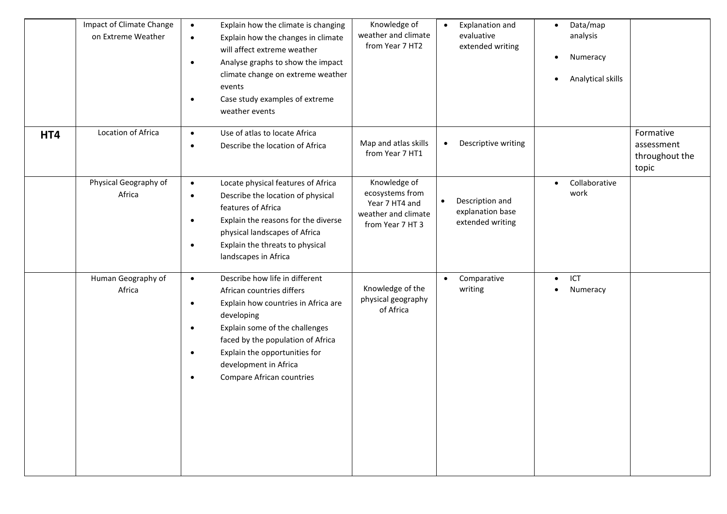|     | Impact of Climate Change<br>on Extreme Weather | Explain how the climate is changing<br>$\bullet$<br>Explain how the changes in climate<br>$\bullet$<br>will affect extreme weather<br>Analyse graphs to show the impact<br>$\bullet$<br>climate change on extreme weather<br>events<br>Case study examples of extreme<br>$\bullet$<br>weather events                                            | Knowledge of<br>weather and climate<br>from Year 7 HT2                                       | <b>Explanation and</b><br>$\bullet$<br>evaluative<br>extended writing | Data/map<br>analysis<br>Numeracy<br>Analytical skills |                                                    |
|-----|------------------------------------------------|-------------------------------------------------------------------------------------------------------------------------------------------------------------------------------------------------------------------------------------------------------------------------------------------------------------------------------------------------|----------------------------------------------------------------------------------------------|-----------------------------------------------------------------------|-------------------------------------------------------|----------------------------------------------------|
| HT4 | Location of Africa                             | Use of atlas to locate Africa<br>$\bullet$<br>Describe the location of Africa<br>$\bullet$                                                                                                                                                                                                                                                      | Map and atlas skills<br>from Year 7 HT1                                                      | Descriptive writing<br>$\bullet$                                      |                                                       | Formative<br>assessment<br>throughout the<br>topic |
|     | Physical Geography of<br>Africa                | Locate physical features of Africa<br>$\bullet$<br>Describe the location of physical<br>$\bullet$<br>features of Africa<br>Explain the reasons for the diverse<br>$\bullet$<br>physical landscapes of Africa<br>Explain the threats to physical<br>$\bullet$<br>landscapes in Africa                                                            | Knowledge of<br>ecosystems from<br>Year 7 HT4 and<br>weather and climate<br>from Year 7 HT 3 | Description and<br>$\bullet$<br>explanation base<br>extended writing  | Collaborative<br>work                                 |                                                    |
|     | Human Geography of<br>Africa                   | Describe how life in different<br>$\bullet$<br>African countries differs<br>Explain how countries in Africa are<br>$\bullet$<br>developing<br>Explain some of the challenges<br>$\bullet$<br>faced by the population of Africa<br>Explain the opportunities for<br>$\bullet$<br>development in Africa<br>Compare African countries<br>$\bullet$ | Knowledge of the<br>physical geography<br>of Africa                                          | Comparative<br>$\bullet$<br>writing                                   | ICT<br>Numeracy                                       |                                                    |